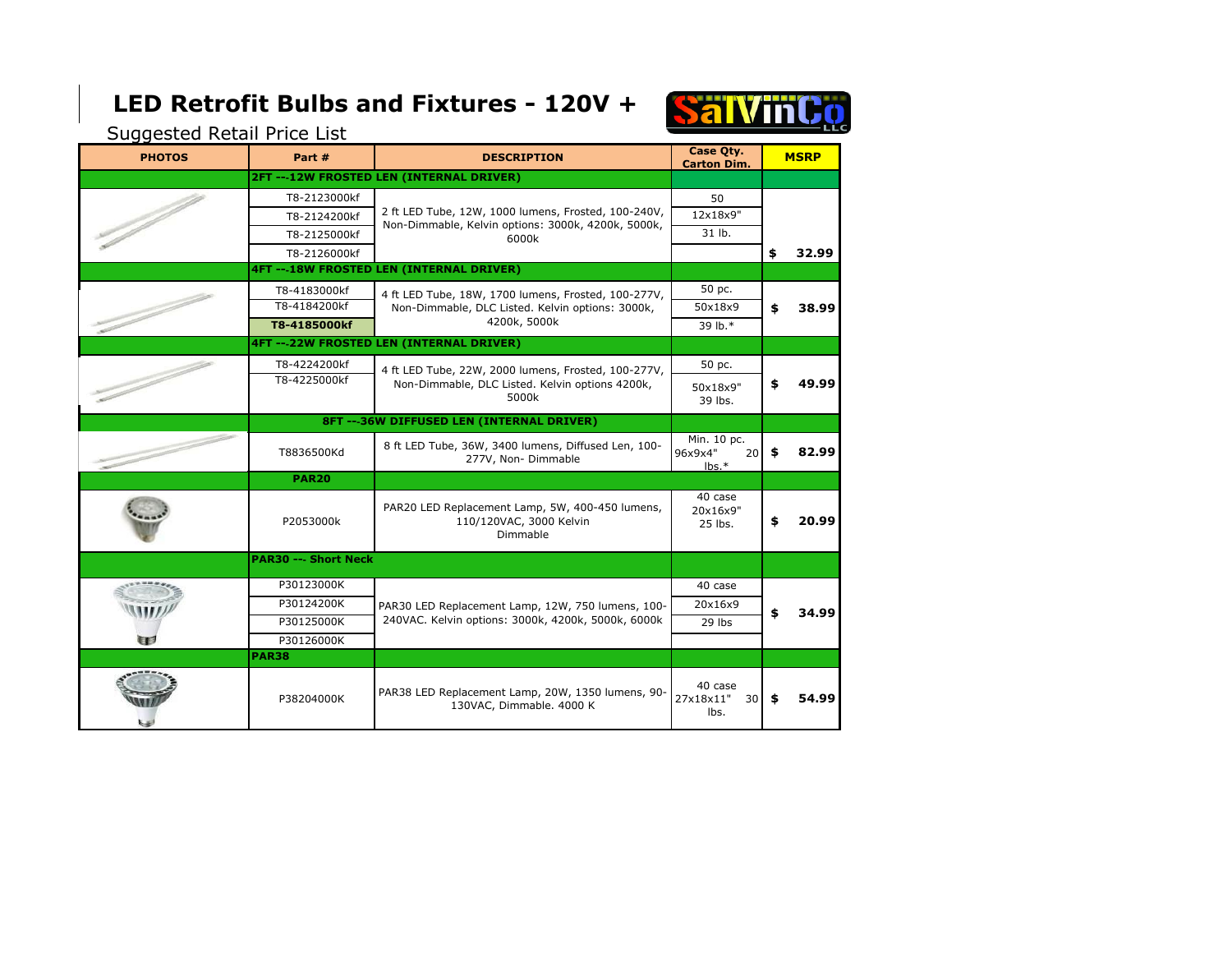## **LED Retrofit Bulbs and Fixtures - 120V +**



Suggested Retail Price List

| <b>PHOTOS</b> | Part #                                          | <b>DESCRIPTION</b>                                                                                                      | Case Qty.<br><b>Carton Dim.</b>      | <b>MSRP</b> |       |  |  |
|---------------|-------------------------------------------------|-------------------------------------------------------------------------------------------------------------------------|--------------------------------------|-------------|-------|--|--|
|               |                                                 | 2FT---12W FROSTED LEN (INTERNAL DRIVER)                                                                                 |                                      |             |       |  |  |
|               | T8-2123000kf                                    | 2 ft LED Tube, 12W, 1000 lumens, Frosted, 100-240V,<br>Non-Dimmable, Kelvin options: 3000k, 4200k, 5000k,<br>6000k      | 50                                   |             |       |  |  |
|               | T8-2124200kf                                    |                                                                                                                         | 12x18x9"                             |             |       |  |  |
|               | T8-2125000kf                                    |                                                                                                                         | 31 lb.                               |             |       |  |  |
|               | T8-2126000kf                                    |                                                                                                                         |                                      | \$          | 32.99 |  |  |
|               | <b>4FT ---18W FROSTED LEN (INTERNAL DRIVER)</b> |                                                                                                                         |                                      |             |       |  |  |
|               | T8-4183000kf                                    | 4 ft LED Tube, 18W, 1700 lumens, Frosted, 100-277V,<br>Non-Dimmable, DLC Listed. Kelvin options: 3000k,<br>4200k, 5000k | 50 pc.                               | \$          | 38.99 |  |  |
|               | T8-4184200kf                                    |                                                                                                                         | 50x18x9                              |             |       |  |  |
|               | T8-4185000kf                                    |                                                                                                                         | 39 lb.*                              |             |       |  |  |
|               |                                                 | <b>4FT --- 22W FROSTED LEN (INTERNAL DRIVER)</b>                                                                        |                                      |             |       |  |  |
|               | T8-4224200kf                                    | 4 ft LED Tube, 22W, 2000 lumens, Frosted, 100-277V,<br>Non-Dimmable, DLC Listed. Kelvin options 4200k,                  | 50 pc.                               | \$          | 49.99 |  |  |
|               | T8-4225000kf                                    |                                                                                                                         | 50x18x9"                             |             |       |  |  |
|               |                                                 | 5000k                                                                                                                   | 39 lbs.                              |             |       |  |  |
|               |                                                 |                                                                                                                         |                                      |             |       |  |  |
|               |                                                 | 8 ft LED Tube, 36W, 3400 lumens, Diffused Len, 100-                                                                     | Min. 10 pc.                          |             |       |  |  |
|               | T8836500Kd                                      | 277V, Non-Dimmable                                                                                                      | 96x9x4"<br>20 <sup>1</sup>           | \$          | 82.99 |  |  |
|               | <b>PAR20</b>                                    |                                                                                                                         | $lbs.*$                              |             |       |  |  |
|               |                                                 |                                                                                                                         | 40 case                              |             |       |  |  |
|               |                                                 | PAR20 LED Replacement Lamp, 5W, 400-450 lumens,                                                                         | 20x16x9"                             |             |       |  |  |
|               | P2053000k                                       | 110/120VAC, 3000 Kelvin<br>Dimmable                                                                                     | 25 lbs.                              | \$          | 20.99 |  |  |
|               |                                                 |                                                                                                                         |                                      |             |       |  |  |
|               | <b>PAR30 --- Short Neck</b>                     |                                                                                                                         |                                      |             |       |  |  |
|               | P30123000K                                      |                                                                                                                         | 40 case                              |             |       |  |  |
|               | P30124200K                                      | PAR30 LED Replacement Lamp, 12W, 750 lumens, 100-                                                                       | 20x16x9                              |             | 34.99 |  |  |
|               | P30125000K                                      | 240VAC. Kelvin options: 3000k, 4200k, 5000k, 6000k                                                                      | 29 lbs                               | \$          |       |  |  |
|               | P30126000K                                      |                                                                                                                         |                                      |             |       |  |  |
|               | <b>PAR38</b>                                    |                                                                                                                         |                                      |             |       |  |  |
|               | P38204000K                                      | PAR38 LED Replacement Lamp, 20W, 1350 lumens, 90-<br>130VAC, Dimmable. 4000 K                                           | 40 case                              | \$          |       |  |  |
|               |                                                 |                                                                                                                         | 27x18x11"<br>30 <sub>l</sub><br>lbs. |             | 54.99 |  |  |